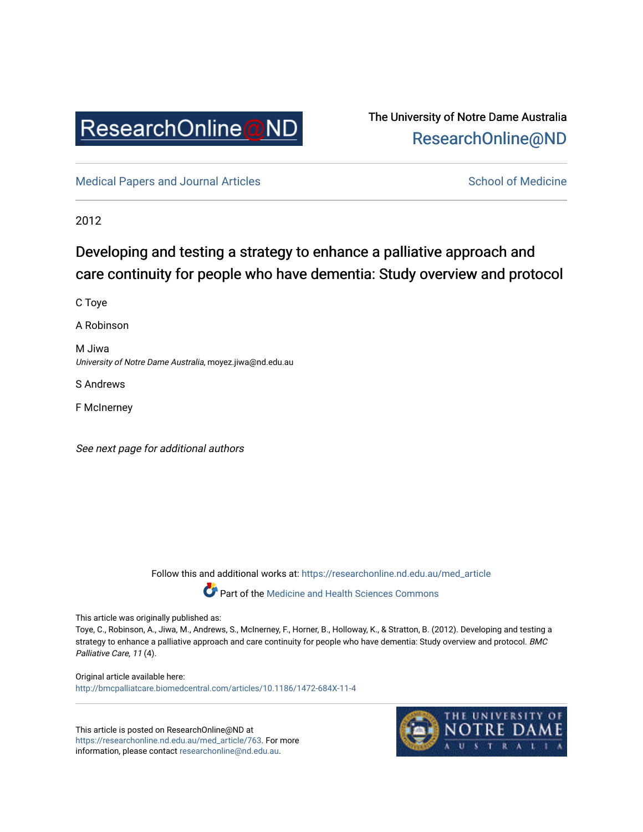

# The University of Notre Dame Australia [ResearchOnline@ND](https://researchonline.nd.edu.au/)

[Medical Papers and Journal Articles](https://researchonline.nd.edu.au/med_article) and School of Medicine

2012

# Developing and testing a strategy to enhance a palliative approach and care continuity for people who have dementia: Study overview and protocol

C Toye

A Robinson

M Jiwa University of Notre Dame Australia, moyez.jiwa@nd.edu.au

S Andrews

F McInerney

See next page for additional authors

Follow this and additional works at: [https://researchonline.nd.edu.au/med\\_article](https://researchonline.nd.edu.au/med_article?utm_source=researchonline.nd.edu.au%2Fmed_article%2F763&utm_medium=PDF&utm_campaign=PDFCoverPages) 

Part of the [Medicine and Health Sciences Commons](http://network.bepress.com/hgg/discipline/648?utm_source=researchonline.nd.edu.au%2Fmed_article%2F763&utm_medium=PDF&utm_campaign=PDFCoverPages)

This article was originally published as:

Toye, C., Robinson, A., Jiwa, M., Andrews, S., McInerney, F., Horner, B., Holloway, K., & Stratton, B. (2012). Developing and testing a strategy to enhance a palliative approach and care continuity for people who have dementia: Study overview and protocol. BMC Palliative Care, 11 (4).

Original article available here: <http://bmcpalliatcare.biomedcentral.com/articles/10.1186/1472-684X-11-4>

This article is posted on ResearchOnline@ND at [https://researchonline.nd.edu.au/med\\_article/763](https://researchonline.nd.edu.au/med_article/763). For more information, please contact [researchonline@nd.edu.au.](mailto:researchonline@nd.edu.au)

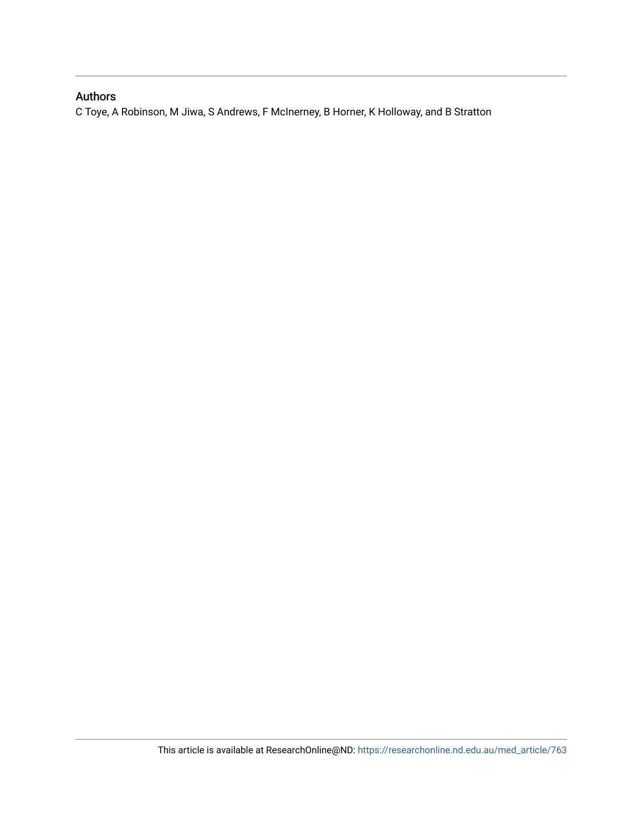# Authors

C Toye, A Robinson, M Jiwa, S Andrews, F McInerney, B Horner, K Holloway, and B Stratton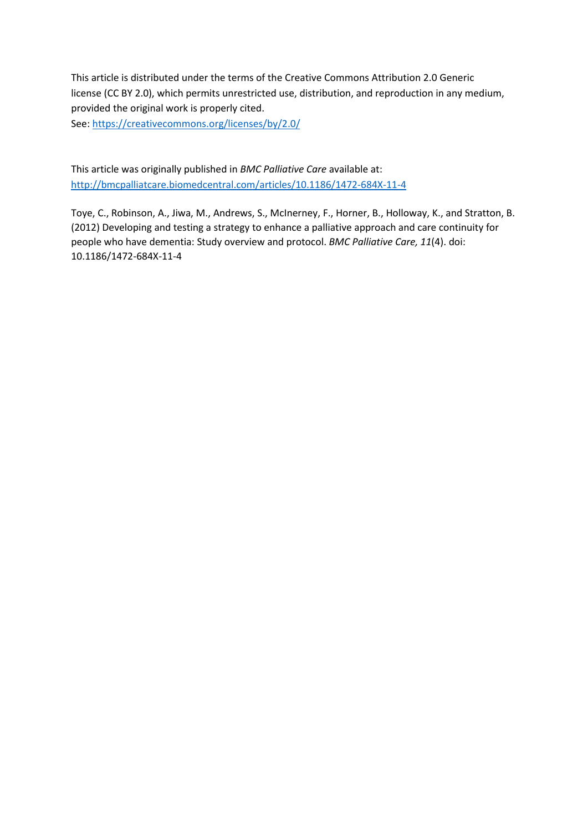This article is distributed under the terms of the Creative Commons Attribution 2.0 Generic license (CC BY 2.0), which permits unrestricted use, distribution, and reproduction in any medium, provided the original work is properly cited. See: <https://creativecommons.org/licenses/by/2.0/>

This article was originally published in *BMC Palliative Care* available at: <http://bmcpalliatcare.biomedcentral.com/articles/10.1186/1472-684X-11-4>

Toye, C., Robinson, A., Jiwa, M., Andrews, S., McInerney, F., Horner, B., Holloway, K., and Stratton, B. (2012) Developing and testing a strategy to enhance a palliative approach and care continuity for people who have dementia: Study overview and protocol. *BMC Palliative Care, 11*(4). doi: 10.1186/1472-684X-11-4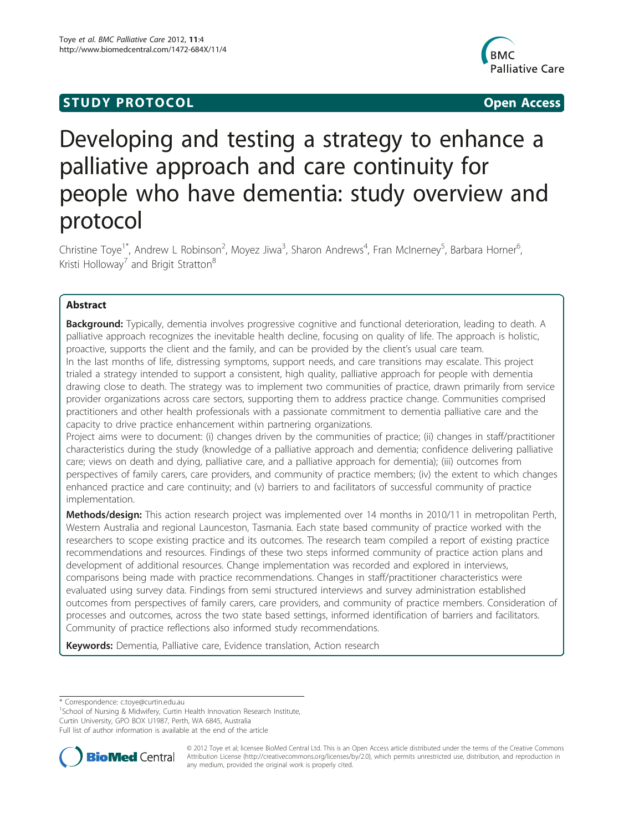# **STUDY PROTOCOL** CONTROL CONTROL CONTROL CONTROL CONTROL CONTROL CONTROL CONTROL CONTROL CONTROL CONTROL CONTROL CONTROL CONTROL CONTROL CONTROL CONTROL CONTROL CONTROL CONTROL CONTROL CONTROL CONTROL CONTROL CONTROL CONTR



# Developing and testing a strategy to enhance a palliative approach and care continuity for people who have dementia: study overview and protocol

Christine Toye<sup>1\*</sup>, Andrew L Robinson<sup>2</sup>, Moyez Jiwa<sup>3</sup>, Sharon Andrews<sup>4</sup>, Fran McInerney<sup>5</sup>, Barbara Horner<sup>6</sup> י<br>, Kristi Holloway<sup>7</sup> and Brigit Stratton<sup>8</sup>

# Abstract

Background: Typically, dementia involves progressive cognitive and functional deterioration, leading to death. A palliative approach recognizes the inevitable health decline, focusing on quality of life. The approach is holistic, proactive, supports the client and the family, and can be provided by the client's usual care team. In the last months of life, distressing symptoms, support needs, and care transitions may escalate. This project trialed a strategy intended to support a consistent, high quality, palliative approach for people with dementia drawing close to death. The strategy was to implement two communities of practice, drawn primarily from service provider organizations across care sectors, supporting them to address practice change. Communities comprised practitioners and other health professionals with a passionate commitment to dementia palliative care and the capacity to drive practice enhancement within partnering organizations.

Project aims were to document: (i) changes driven by the communities of practice; (ii) changes in staff/practitioner characteristics during the study (knowledge of a palliative approach and dementia; confidence delivering palliative care; views on death and dying, palliative care, and a palliative approach for dementia); (iii) outcomes from perspectives of family carers, care providers, and community of practice members; (iv) the extent to which changes enhanced practice and care continuity; and (v) barriers to and facilitators of successful community of practice implementation.

Methods/design: This action research project was implemented over 14 months in 2010/11 in metropolitan Perth, Western Australia and regional Launceston, Tasmania. Each state based community of practice worked with the researchers to scope existing practice and its outcomes. The research team compiled a report of existing practice recommendations and resources. Findings of these two steps informed community of practice action plans and development of additional resources. Change implementation was recorded and explored in interviews, comparisons being made with practice recommendations. Changes in staff/practitioner characteristics were evaluated using survey data. Findings from semi structured interviews and survey administration established outcomes from perspectives of family carers, care providers, and community of practice members. Consideration of processes and outcomes, across the two state based settings, informed identification of barriers and facilitators. Community of practice reflections also informed study recommendations.

Keywords: Dementia, Palliative care, Evidence translation, Action research

\* Correspondence: [c.toye@curtin.edu.au](mailto:c.toye@curtin.edu.au)

<sup>1</sup>School of Nursing & Midwifery, Curtin Health Innovation Research Institute, Curtin University, GPO BOX U1987, Perth, WA 6845, Australia

Full list of author information is available at the end of the article



© 2012 Toye et al; licensee BioMed Central Ltd. This is an Open Access article distributed under the terms of the Creative Commons Attribution License [\(http://creativecommons.org/licenses/by/2.0](http://creativecommons.org/licenses/by/2.0)), which permits unrestricted use, distribution, and reproduction in any medium, provided the original work is properly cited.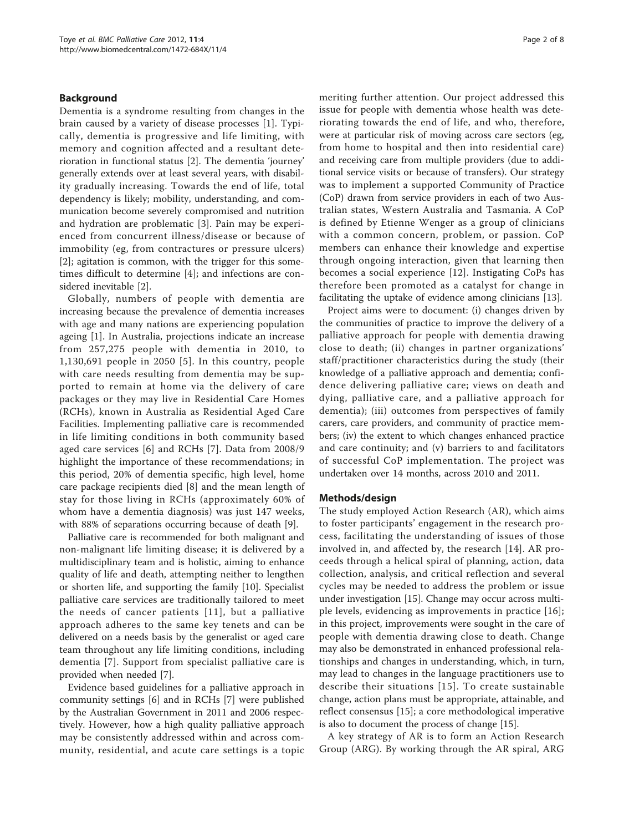### Background

Dementia is a syndrome resulting from changes in the brain caused by a variety of disease processes [\[1](#page-10-0)]. Typically, dementia is progressive and life limiting, with memory and cognition affected and a resultant deterioration in functional status [[2\]](#page-10-0). The dementia 'journey' generally extends over at least several years, with disability gradually increasing. Towards the end of life, total dependency is likely; mobility, understanding, and communication become severely compromised and nutrition and hydration are problematic [[3\]](#page-10-0). Pain may be experienced from concurrent illness/disease or because of immobility (eg, from contractures or pressure ulcers) [[2\]](#page-10-0); agitation is common, with the trigger for this sometimes difficult to determine [[4](#page-10-0)]; and infections are considered inevitable [\[2](#page-10-0)].

Globally, numbers of people with dementia are increasing because the prevalence of dementia increases with age and many nations are experiencing population ageing [[1\]](#page-10-0). In Australia, projections indicate an increase from 257,275 people with dementia in 2010, to 1,130,691 people in 2050 [[5\]](#page-10-0). In this country, people with care needs resulting from dementia may be supported to remain at home via the delivery of care packages or they may live in Residential Care Homes (RCHs), known in Australia as Residential Aged Care Facilities. Implementing palliative care is recommended in life limiting conditions in both community based aged care services [\[6](#page-10-0)] and RCHs [[7](#page-10-0)]. Data from 2008/9 highlight the importance of these recommendations; in this period, 20% of dementia specific, high level, home care package recipients died [[8\]](#page-10-0) and the mean length of stay for those living in RCHs (approximately 60% of whom have a dementia diagnosis) was just 147 weeks, with 88% of separations occurring because of death [[9\]](#page-10-0).

Palliative care is recommended for both malignant and non-malignant life limiting disease; it is delivered by a multidisciplinary team and is holistic, aiming to enhance quality of life and death, attempting neither to lengthen or shorten life, and supporting the family [\[10\]](#page-10-0). Specialist palliative care services are traditionally tailored to meet the needs of cancer patients [[11](#page-10-0)], but a palliative approach adheres to the same key tenets and can be delivered on a needs basis by the generalist or aged care team throughout any life limiting conditions, including dementia [[7\]](#page-10-0). Support from specialist palliative care is provided when needed [\[7\]](#page-10-0).

Evidence based guidelines for a palliative approach in community settings [[6\]](#page-10-0) and in RCHs [[7\]](#page-10-0) were published by the Australian Government in 2011 and 2006 respectively. However, how a high quality palliative approach may be consistently addressed within and across community, residential, and acute care settings is a topic meriting further attention. Our project addressed this issue for people with dementia whose health was deteriorating towards the end of life, and who, therefore, were at particular risk of moving across care sectors (eg, from home to hospital and then into residential care) and receiving care from multiple providers (due to additional service visits or because of transfers). Our strategy was to implement a supported Community of Practice (CoP) drawn from service providers in each of two Australian states, Western Australia and Tasmania. A CoP is defined by Etienne Wenger as a group of clinicians with a common concern, problem, or passion. CoP members can enhance their knowledge and expertise through ongoing interaction, given that learning then becomes a social experience [[12](#page-10-0)]. Instigating CoPs has therefore been promoted as a catalyst for change in facilitating the uptake of evidence among clinicians [[13](#page-10-0)].

Project aims were to document: (i) changes driven by the communities of practice to improve the delivery of a palliative approach for people with dementia drawing close to death; (ii) changes in partner organizations' staff/practitioner characteristics during the study (their knowledge of a palliative approach and dementia; confidence delivering palliative care; views on death and dying, palliative care, and a palliative approach for dementia); (iii) outcomes from perspectives of family carers, care providers, and community of practice members; (iv) the extent to which changes enhanced practice and care continuity; and (v) barriers to and facilitators of successful CoP implementation. The project was undertaken over 14 months, across 2010 and 2011.

#### Methods/design

The study employed Action Research (AR), which aims to foster participants' engagement in the research process, facilitating the understanding of issues of those involved in, and affected by, the research [\[14](#page-10-0)]. AR proceeds through a helical spiral of planning, action, data collection, analysis, and critical reflection and several cycles may be needed to address the problem or issue under investigation [[15\]](#page-10-0). Change may occur across multiple levels, evidencing as improvements in practice [[16\]](#page-10-0); in this project, improvements were sought in the care of people with dementia drawing close to death. Change may also be demonstrated in enhanced professional relationships and changes in understanding, which, in turn, may lead to changes in the language practitioners use to describe their situations [[15](#page-10-0)]. To create sustainable change, action plans must be appropriate, attainable, and reflect consensus [[15\]](#page-10-0); a core methodological imperative is also to document the process of change [\[15](#page-10-0)].

A key strategy of AR is to form an Action Research Group (ARG). By working through the AR spiral, ARG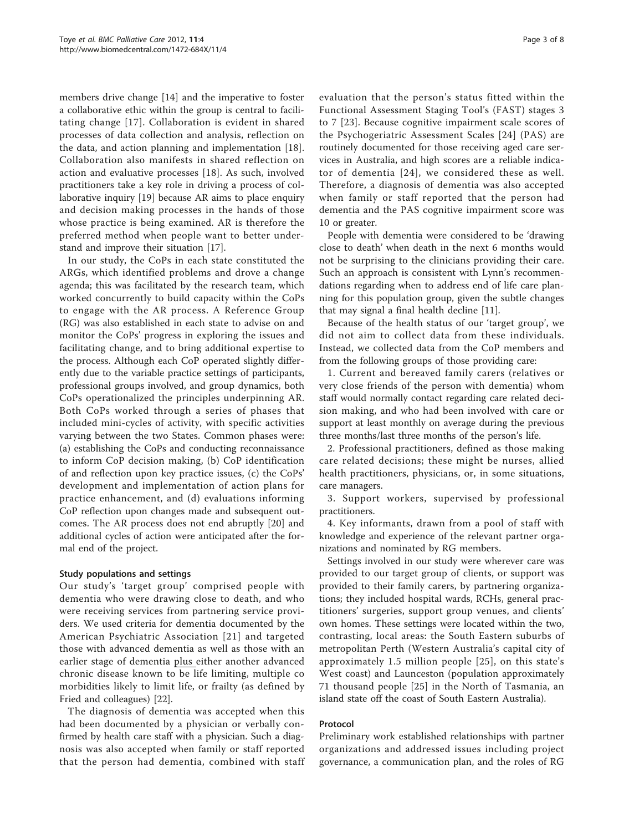members drive change [\[14](#page-10-0)] and the imperative to foster a collaborative ethic within the group is central to facilitating change [\[17\]](#page-10-0). Collaboration is evident in shared processes of data collection and analysis, reflection on the data, and action planning and implementation [\[18](#page-10-0)]. Collaboration also manifests in shared reflection on action and evaluative processes [[18\]](#page-10-0). As such, involved practitioners take a key role in driving a process of collaborative inquiry [[19\]](#page-10-0) because AR aims to place enquiry and decision making processes in the hands of those whose practice is being examined. AR is therefore the preferred method when people want to better understand and improve their situation [[17](#page-10-0)].

In our study, the CoPs in each state constituted the ARGs, which identified problems and drove a change agenda; this was facilitated by the research team, which worked concurrently to build capacity within the CoPs to engage with the AR process. A Reference Group (RG) was also established in each state to advise on and monitor the CoPs' progress in exploring the issues and facilitating change, and to bring additional expertise to the process. Although each CoP operated slightly differently due to the variable practice settings of participants, professional groups involved, and group dynamics, both CoPs operationalized the principles underpinning AR. Both CoPs worked through a series of phases that included mini-cycles of activity, with specific activities varying between the two States. Common phases were: (a) establishing the CoPs and conducting reconnaissance to inform CoP decision making, (b) CoP identification of and reflection upon key practice issues, (c) the CoPs' development and implementation of action plans for practice enhancement, and (d) evaluations informing CoP reflection upon changes made and subsequent outcomes. The AR process does not end abruptly [[20\]](#page-10-0) and additional cycles of action were anticipated after the formal end of the project.

## Study populations and settings

Our study's 'target group' comprised people with dementia who were drawing close to death, and who were receiving services from partnering service providers. We used criteria for dementia documented by the American Psychiatric Association [[21\]](#page-10-0) and targeted those with advanced dementia as well as those with an earlier stage of dementia plus either another advanced chronic disease known to be life limiting, multiple co morbidities likely to limit life, or frailty (as defined by Fried and colleagues) [[22\]](#page-10-0).

The diagnosis of dementia was accepted when this had been documented by a physician or verbally confirmed by health care staff with a physician. Such a diagnosis was also accepted when family or staff reported that the person had dementia, combined with staff

evaluation that the person's status fitted within the Functional Assessment Staging Tool's (FAST) stages 3 to 7 [\[23](#page-10-0)]. Because cognitive impairment scale scores of the Psychogeriatric Assessment Scales [[24\]](#page-10-0) (PAS) are routinely documented for those receiving aged care services in Australia, and high scores are a reliable indicator of dementia [[24](#page-10-0)], we considered these as well. Therefore, a diagnosis of dementia was also accepted when family or staff reported that the person had dementia and the PAS cognitive impairment score was 10 or greater.

People with dementia were considered to be 'drawing close to death' when death in the next 6 months would not be surprising to the clinicians providing their care. Such an approach is consistent with Lynn's recommendations regarding when to address end of life care planning for this population group, given the subtle changes that may signal a final health decline [[11](#page-10-0)].

Because of the health status of our 'target group', we did not aim to collect data from these individuals. Instead, we collected data from the CoP members and from the following groups of those providing care:

1. Current and bereaved family carers (relatives or very close friends of the person with dementia) whom staff would normally contact regarding care related decision making, and who had been involved with care or support at least monthly on average during the previous three months/last three months of the person's life.

2. Professional practitioners, defined as those making care related decisions; these might be nurses, allied health practitioners, physicians, or, in some situations, care managers.

3. Support workers, supervised by professional practitioners.

4. Key informants, drawn from a pool of staff with knowledge and experience of the relevant partner organizations and nominated by RG members.

Settings involved in our study were wherever care was provided to our target group of clients, or support was provided to their family carers, by partnering organizations; they included hospital wards, RCHs, general practitioners' surgeries, support group venues, and clients' own homes. These settings were located within the two, contrasting, local areas: the South Eastern suburbs of metropolitan Perth (Western Australia's capital city of approximately 1.5 million people [[25](#page-10-0)], on this state's West coast) and Launceston (population approximately 71 thousand people [\[25\]](#page-10-0) in the North of Tasmania, an island state off the coast of South Eastern Australia).

## Protocol

Preliminary work established relationships with partner organizations and addressed issues including project governance, a communication plan, and the roles of RG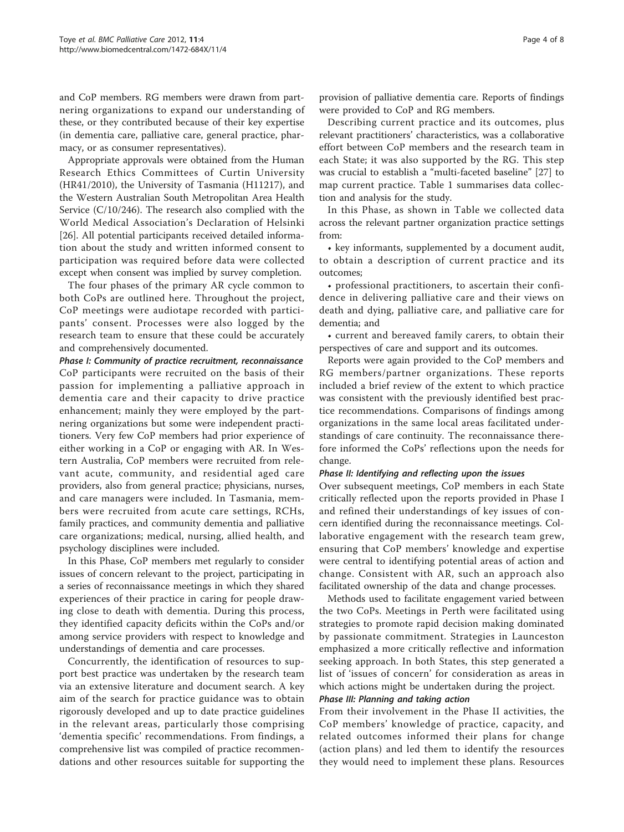and CoP members. RG members were drawn from partnering organizations to expand our understanding of these, or they contributed because of their key expertise (in dementia care, palliative care, general practice, pharmacy, or as consumer representatives).

Appropriate approvals were obtained from the Human Research Ethics Committees of Curtin University (HR41/2010), the University of Tasmania (H11217), and the Western Australian South Metropolitan Area Health Service (C/10/246). The research also complied with the World Medical Association's Declaration of Helsinki [[26\]](#page-10-0). All potential participants received detailed information about the study and written informed consent to participation was required before data were collected except when consent was implied by survey completion.

The four phases of the primary AR cycle common to both CoPs are outlined here. Throughout the project, CoP meetings were audiotape recorded with participants' consent. Processes were also logged by the research team to ensure that these could be accurately and comprehensively documented.

Phase I: Community of practice recruitment, reconnaissance CoP participants were recruited on the basis of their passion for implementing a palliative approach in dementia care and their capacity to drive practice enhancement; mainly they were employed by the partnering organizations but some were independent practitioners. Very few CoP members had prior experience of either working in a CoP or engaging with AR. In Western Australia, CoP members were recruited from relevant acute, community, and residential aged care providers, also from general practice; physicians, nurses, and care managers were included. In Tasmania, members were recruited from acute care settings, RCHs, family practices, and community dementia and palliative care organizations; medical, nursing, allied health, and psychology disciplines were included.

In this Phase, CoP members met regularly to consider issues of concern relevant to the project, participating in a series of reconnaissance meetings in which they shared experiences of their practice in caring for people drawing close to death with dementia. During this process, they identified capacity deficits within the CoPs and/or among service providers with respect to knowledge and understandings of dementia and care processes.

Concurrently, the identification of resources to support best practice was undertaken by the research team via an extensive literature and document search. A key aim of the search for practice guidance was to obtain rigorously developed and up to date practice guidelines in the relevant areas, particularly those comprising 'dementia specific' recommendations. From findings, a comprehensive list was compiled of practice recommendations and other resources suitable for supporting the

provision of palliative dementia care. Reports of findings were provided to CoP and RG members.

Describing current practice and its outcomes, plus relevant practitioners' characteristics, was a collaborative effort between CoP members and the research team in each State; it was also supported by the RG. This step was crucial to establish a "multi-faceted baseline" [\[27\]](#page-10-0) to map current practice. Table [1](#page-7-0) summarises data collection and analysis for the study.

In this Phase, as shown in Table we collected data across the relevant partner organization practice settings from:

• key informants, supplemented by a document audit, to obtain a description of current practice and its outcomes;

• professional practitioners, to ascertain their confidence in delivering palliative care and their views on death and dying, palliative care, and palliative care for dementia; and

• current and bereaved family carers, to obtain their perspectives of care and support and its outcomes.

Reports were again provided to the CoP members and RG members/partner organizations. These reports included a brief review of the extent to which practice was consistent with the previously identified best practice recommendations. Comparisons of findings among organizations in the same local areas facilitated understandings of care continuity. The reconnaissance therefore informed the CoPs' reflections upon the needs for change.

#### Phase II: Identifying and reflecting upon the issues

Over subsequent meetings, CoP members in each State critically reflected upon the reports provided in Phase I and refined their understandings of key issues of concern identified during the reconnaissance meetings. Collaborative engagement with the research team grew, ensuring that CoP members' knowledge and expertise were central to identifying potential areas of action and change. Consistent with AR, such an approach also facilitated ownership of the data and change processes.

Methods used to facilitate engagement varied between the two CoPs. Meetings in Perth were facilitated using strategies to promote rapid decision making dominated by passionate commitment. Strategies in Launceston emphasized a more critically reflective and information seeking approach. In both States, this step generated a list of 'issues of concern' for consideration as areas in which actions might be undertaken during the project.

## Phase III: Planning and taking action

From their involvement in the Phase II activities, the CoP members' knowledge of practice, capacity, and related outcomes informed their plans for change (action plans) and led them to identify the resources they would need to implement these plans. Resources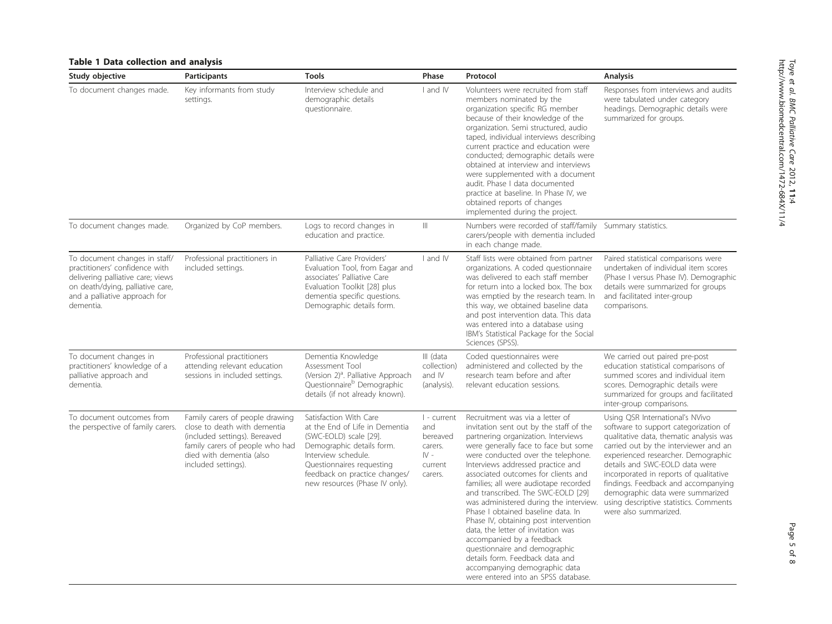## <span id="page-7-0"></span>Table 1 Data collection and analysis

| Study objective                                                                                                                                                                        | Participants                                                                                                                                                                           | <b>Tools</b>                                                                                                                                                                                                                           | Phase                                                                     | Protocol                                                                                                                                                                                                                                                                                                                                                                                                                                                                                                                                                                                                                                                                                           | <b>Analysis</b>                                                                                                                                                                                                                                                                                                                                                                                                               |
|----------------------------------------------------------------------------------------------------------------------------------------------------------------------------------------|----------------------------------------------------------------------------------------------------------------------------------------------------------------------------------------|----------------------------------------------------------------------------------------------------------------------------------------------------------------------------------------------------------------------------------------|---------------------------------------------------------------------------|----------------------------------------------------------------------------------------------------------------------------------------------------------------------------------------------------------------------------------------------------------------------------------------------------------------------------------------------------------------------------------------------------------------------------------------------------------------------------------------------------------------------------------------------------------------------------------------------------------------------------------------------------------------------------------------------------|-------------------------------------------------------------------------------------------------------------------------------------------------------------------------------------------------------------------------------------------------------------------------------------------------------------------------------------------------------------------------------------------------------------------------------|
| To document changes made.                                                                                                                                                              | Key informants from study<br>settings.                                                                                                                                                 | Interview schedule and<br>demographic details<br>questionnaire.                                                                                                                                                                        | I and IV                                                                  | Volunteers were recruited from staff<br>members nominated by the<br>organization specific RG member<br>because of their knowledge of the<br>organization. Semi structured, audio<br>taped, individual interviews describing<br>current practice and education were<br>conducted; demographic details were<br>obtained at interview and interviews<br>were supplemented with a document<br>audit. Phase I data documented<br>practice at baseline. In Phase IV, we<br>obtained reports of changes<br>implemented during the project.                                                                                                                                                                | Responses from interviews and audits<br>were tabulated under category<br>headings. Demographic details were<br>summarized for groups.                                                                                                                                                                                                                                                                                         |
| To document changes made.                                                                                                                                                              | Organized by CoP members.                                                                                                                                                              | Logs to record changes in<br>education and practice.                                                                                                                                                                                   | $\vert\vert\vert$                                                         | Numbers were recorded of staff/family<br>carers/people with dementia included<br>in each change made.                                                                                                                                                                                                                                                                                                                                                                                                                                                                                                                                                                                              | Summary statistics.                                                                                                                                                                                                                                                                                                                                                                                                           |
| To document changes in staff/<br>practitioners' confidence with<br>delivering palliative care; views<br>on death/dying, palliative care,<br>and a palliative approach for<br>dementia. | Professional practitioners in<br>included settings.                                                                                                                                    | Palliative Care Providers'<br>Evaluation Tool, from Eagar and<br>associates' Palliative Care<br>Evaluation Toolkit [28] plus<br>dementia specific questions.<br>Demographic details form.                                              | I and IV                                                                  | Staff lists were obtained from partner<br>organizations. A coded questionnaire<br>was delivered to each staff member<br>for return into a locked box. The box<br>was emptied by the research team. In<br>this way, we obtained baseline data<br>and post intervention data. This data<br>was entered into a database using<br>IBM's Statistical Package for the Social<br>Sciences (SPSS).                                                                                                                                                                                                                                                                                                         | Paired statistical comparisons were<br>undertaken of individual item scores<br>(Phase I versus Phase IV). Demographic<br>details were summarized for groups<br>and facilitated inter-group<br>comparisons.                                                                                                                                                                                                                    |
| To document changes in<br>practitioners' knowledge of a<br>palliative approach and<br>dementia.                                                                                        | Professional practitioners<br>attending relevant education<br>sessions in included settings.                                                                                           | Dementia Knowledge<br>Assessment Tool<br>(Version 2) <sup>a</sup> . Palliative Approach<br>Questionnaire <sup>b</sup> Demographic<br>details (if not already known).                                                                   | III (data<br>collection)<br>and IV<br>(analysis).                         | Coded questionnaires were<br>administered and collected by the<br>research team before and after<br>relevant education sessions.                                                                                                                                                                                                                                                                                                                                                                                                                                                                                                                                                                   | We carried out paired pre-post<br>education statistical comparisons of<br>summed scores and individual item<br>scores. Demographic details were<br>summarized for groups and facilitated<br>inter-group comparisons.                                                                                                                                                                                                          |
| To document outcomes from<br>the perspective of family carers.                                                                                                                         | Family carers of people drawing<br>close to death with dementia<br>(included settings). Bereaved<br>family carers of people who had<br>died with dementia (also<br>included settings). | Satisfaction With Care<br>at the End of Life in Dementia<br>(SWC-EOLD) scale [29].<br>Demographic details form.<br>Interview schedule.<br>Questionnaires requesting<br>feedback on practice changes/<br>new resources (Phase IV only). | I - current<br>and<br>bereaved<br>carers.<br>$IV -$<br>current<br>carers. | Recruitment was via a letter of<br>invitation sent out by the staff of the<br>partnering organization. Interviews<br>were generally face to face but some<br>were conducted over the telephone.<br>Interviews addressed practice and<br>associated outcomes for clients and<br>families; all were audiotape recorded<br>and transcribed. The SWC-EOLD [29]<br>was administered during the interview.<br>Phase I obtained baseline data. In<br>Phase IV, obtaining post intervention<br>data, the letter of invitation was<br>accompanied by a feedback<br>questionnaire and demographic<br>details form. Feedback data and<br>accompanying demographic data<br>were entered into an SPSS database. | Using QSR International's NVivo<br>software to support categorization of<br>qualitative data, thematic analysis was<br>carried out by the interviewer and an<br>experienced researcher. Demographic<br>details and SWC-EOLD data were<br>incorporated in reports of qualitative<br>findings. Feedback and accompanying<br>demographic data were summarized<br>using descriptive statistics. Comments<br>were also summarized. |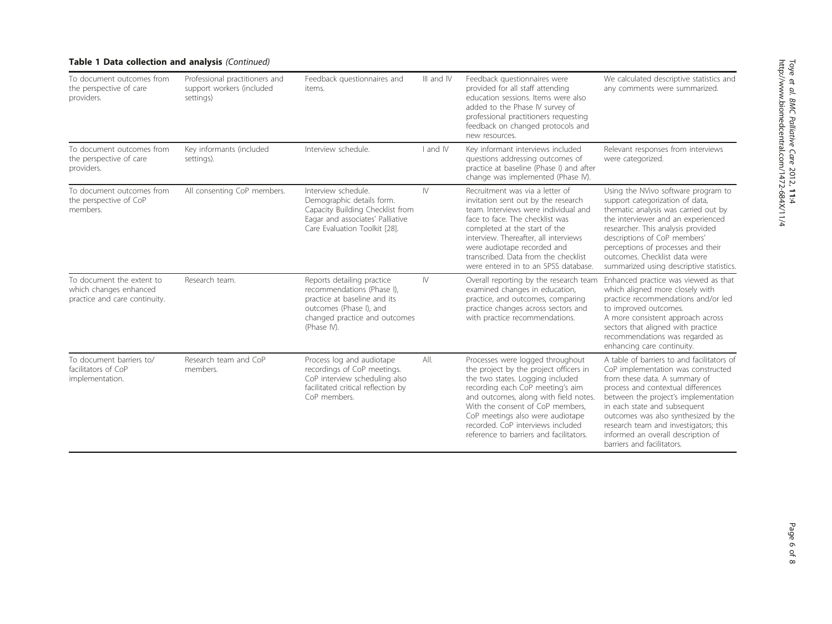|  |  |  |  |  |  | Table 1 Data collection and analysis (Continued) |
|--|--|--|--|--|--|--------------------------------------------------|
|--|--|--|--|--|--|--------------------------------------------------|

| To document outcomes from<br>the perspective of care<br>providers.                   | Professional practitioners and<br>support workers (included<br>settings) | Feedback questionnaires and<br>items.                                                                                                                               | III and IV             | Feedback questionnaires were<br>provided for all staff attending<br>education sessions. Items were also<br>added to the Phase IV survey of<br>professional practitioners requesting<br>feedback on changed protocols and<br>new resources.                                                                                                          | We calculated descriptive statistics and<br>any comments were summarized.                                                                                                                                                                                                                                                                                                            |
|--------------------------------------------------------------------------------------|--------------------------------------------------------------------------|---------------------------------------------------------------------------------------------------------------------------------------------------------------------|------------------------|-----------------------------------------------------------------------------------------------------------------------------------------------------------------------------------------------------------------------------------------------------------------------------------------------------------------------------------------------------|--------------------------------------------------------------------------------------------------------------------------------------------------------------------------------------------------------------------------------------------------------------------------------------------------------------------------------------------------------------------------------------|
| To document outcomes from<br>the perspective of care<br>providers.                   | Key informants (included<br>settings).                                   | Interview schedule.                                                                                                                                                 | I and IV               | Key informant interviews included<br>questions addressing outcomes of<br>practice at baseline (Phase I) and after<br>change was implemented (Phase IV).                                                                                                                                                                                             | Relevant responses from interviews<br>were categorized.                                                                                                                                                                                                                                                                                                                              |
| To document outcomes from<br>the perspective of CoP<br>members.                      | All consenting CoP members.                                              | Interview schedule.<br>Demographic details form.<br>Capacity Building Checklist from<br>Eagar and associates' Palliative<br>Care Evaluation Toolkit [28].           | $\mathsf{IV}$          | Recruitment was via a letter of<br>invitation sent out by the research<br>team. Interviews were individual and<br>face to face. The checklist was<br>completed at the start of the<br>interview. Thereafter, all interviews<br>were audiotape recorded and<br>transcribed. Data from the checklist<br>were entered in to an SPSS database.          | Using the NVivo software program to<br>support categorization of data,<br>thematic analysis was carried out by<br>the interviewer and an experienced<br>researcher. This analysis provided<br>descriptions of CoP members'<br>perceptions of processes and their<br>outcomes. Checklist data were<br>summarized using descriptive statistics.                                        |
| To document the extent to<br>which changes enhanced<br>practice and care continuity. | Research team.                                                           | Reports detailing practice<br>recommendations (Phase I),<br>practice at baseline and its<br>outcomes (Phase I), and<br>changed practice and outcomes<br>(Phase IV). | $\mathsf{I}\mathsf{V}$ | Overall reporting by the research team<br>examined changes in education,<br>practice, and outcomes, comparing<br>practice changes across sectors and<br>with practice recommendations.                                                                                                                                                              | Enhanced practice was viewed as that<br>which aligned more closely with<br>practice recommendations and/or led<br>to improved outcomes.<br>A more consistent approach across<br>sectors that aligned with practice<br>recommendations was regarded as<br>enhancing care continuity.                                                                                                  |
| To document barriers to/<br>facilitators of CoP<br>implementation.                   | Research team and CoP<br>members.                                        | Process log and audiotape<br>recordings of CoP meetings.<br>CoP interview scheduling also<br>facilitated critical reflection by<br>CoP members.                     | All.                   | Processes were logged throughout<br>the project by the project officers in<br>the two states. Logging included<br>recording each CoP meeting's aim<br>and outcomes, along with field notes.<br>With the consent of CoP members.<br>CoP meetings also were audiotape<br>recorded. CoP interviews included<br>reference to barriers and facilitators. | A table of barriers to and facilitators of<br>CoP implementation was constructed<br>from these data. A summary of<br>process and contextual differences<br>between the project's implementation<br>in each state and subsequent<br>outcomes was also synthesized by the<br>research team and investigators; this<br>informed an overall description of<br>barriers and facilitators. |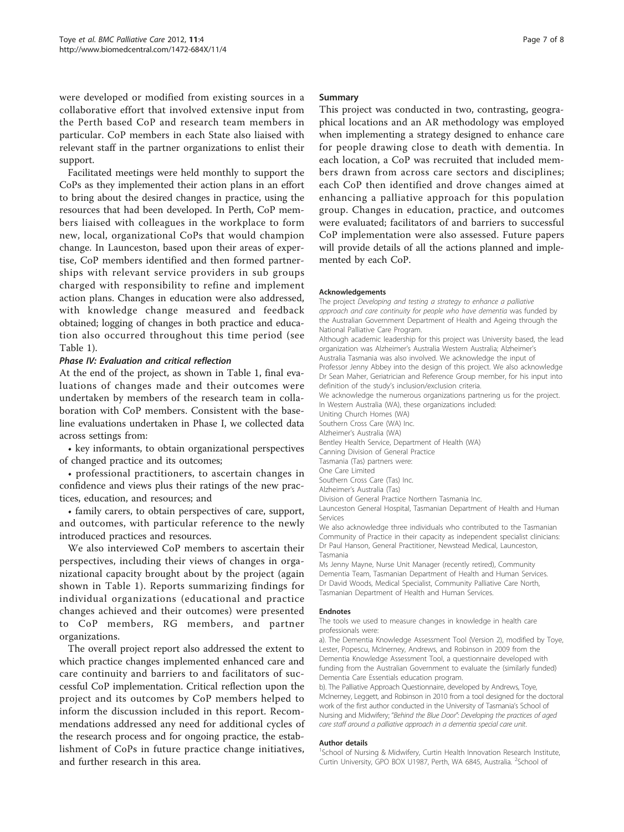were developed or modified from existing sources in a collaborative effort that involved extensive input from the Perth based CoP and research team members in particular. CoP members in each State also liaised with relevant staff in the partner organizations to enlist their support.

Facilitated meetings were held monthly to support the CoPs as they implemented their action plans in an effort to bring about the desired changes in practice, using the resources that had been developed. In Perth, CoP members liaised with colleagues in the workplace to form new, local, organizational CoPs that would champion change. In Launceston, based upon their areas of expertise, CoP members identified and then formed partnerships with relevant service providers in sub groups charged with responsibility to refine and implement action plans. Changes in education were also addressed, with knowledge change measured and feedback obtained; logging of changes in both practice and education also occurred throughout this time period (see Table [1\)](#page-7-0).

#### Phase IV: Evaluation and critical reflection

At the end of the project, as shown in Table [1,](#page-7-0) final evaluations of changes made and their outcomes were undertaken by members of the research team in collaboration with CoP members. Consistent with the baseline evaluations undertaken in Phase I, we collected data across settings from:

• key informants, to obtain organizational perspectives of changed practice and its outcomes;

• professional practitioners, to ascertain changes in confidence and views plus their ratings of the new practices, education, and resources; and

• family carers, to obtain perspectives of care, support, and outcomes, with particular reference to the newly introduced practices and resources.

We also interviewed CoP members to ascertain their perspectives, including their views of changes in organizational capacity brought about by the project (again shown in Table [1\)](#page-7-0). Reports summarizing findings for individual organizations (educational and practice changes achieved and their outcomes) were presented to CoP members, RG members, and partner organizations.

The overall project report also addressed the extent to which practice changes implemented enhanced care and care continuity and barriers to and facilitators of successful CoP implementation. Critical reflection upon the project and its outcomes by CoP members helped to inform the discussion included in this report. Recommendations addressed any need for additional cycles of the research process and for ongoing practice, the establishment of CoPs in future practice change initiatives, and further research in this area.

#### Page 7 of 8

#### Summary

This project was conducted in two, contrasting, geographical locations and an AR methodology was employed when implementing a strategy designed to enhance care for people drawing close to death with dementia. In each location, a CoP was recruited that included members drawn from across care sectors and disciplines; each CoP then identified and drove changes aimed at enhancing a palliative approach for this population group. Changes in education, practice, and outcomes were evaluated; facilitators of and barriers to successful CoP implementation were also assessed. Future papers will provide details of all the actions planned and implemented by each CoP.

#### Acknowledgements

The project Developing and testing a strategy to enhance a palliative approach and care continuity for people who have dementia was funded by the Australian Government Department of Health and Ageing through the National Palliative Care Program. Although academic leadership for this project was University based, the lead organization was Alzheimer's Australia Western Australia; Alzheimer's Australia Tasmania was also involved. We acknowledge the input of Professor Jenny Abbey into the design of this project. We also acknowledge Dr Sean Maher, Geriatrician and Reference Group member, for his input into definition of the study's inclusion/exclusion criteria. We acknowledge the numerous organizations partnering us for the project. In Western Australia (WA), these organizations included: Uniting Church Homes (WA) Southern Cross Care (WA) Inc. Alzheimer's Australia (WA) Bentley Health Service, Department of Health (WA) Canning Division of General Practice Tasmania (Tas) partners were: One Care Limited Southern Cross Care (Tas) Inc. Alzheimer's Australia (Tas) Division of General Practice Northern Tasmania Inc. Launceston General Hospital, Tasmanian Department of Health and Human Services We also acknowledge three individuals who contributed to the Tasmanian Community of Practice in their capacity as independent specialist clinicians:

Dr Paul Hanson, General Practitioner, Newstead Medical, Launceston, Tasmania Ms Jenny Mayne, Nurse Unit Manager (recently retired), Community Dementia Team, Tasmanian Department of Health and Human Services.

Dr David Woods, Medical Specialist, Community Palliative Care North, Tasmanian Department of Health and Human Services.

#### Endnotes

The tools we used to measure changes in knowledge in health care professionals were:

a). The Dementia Knowledge Assessment Tool (Version 2), modified by Toye, Lester, Popescu, McInerney, Andrews, and Robinson in 2009 from the Dementia Knowledge Assessment Tool, a questionnaire developed with funding from the Australian Government to evaluate the (similarly funded) Dementia Care Essentials education program.

b). The Palliative Approach Questionnaire, developed by Andrews, Toye, McInerney, Leggett, and Robinson in 2010 from a tool designed for the doctoral work of the first author conducted in the University of Tasmania's School of Nursing and Midwifery; "Behind the Blue Door": Developing the practices of aged care staff around a palliative approach in a dementia special care unit.

#### Author details

<sup>1</sup>School of Nursing & Midwifery, Curtin Health Innovation Research Institute Curtin University, GPO BOX U1987, Perth, WA 6845, Australia. <sup>2</sup>School of